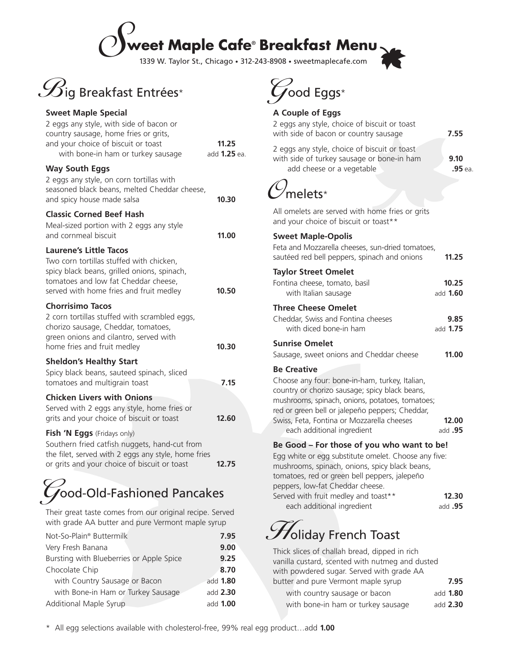### S**weet Maple Cafe**® **Breakfast Menu**

1339 W. Taylor St., Chicago • 312-243-8908 • sweetmaplecafe.com



#### **Sweet Maple Special** 2 eggs any style, with side of bacon or country sausage, home fries or grits, and your choice of biscuit or toast **11.25** with bone-in ham or turkey sausage add **1.25** ea. **Way South Eggs** 2 eggs any style, on corn tortillas with seasoned black beans, melted Cheddar cheese, and spicy house made salsa **10.30 Classic Corned Beef Hash** Meal-sized portion with 2 eggs any style and cornmeal biscuit **11.00 Laurene's Little Tacos** Two corn tortillas stuffed with chicken, spicy black beans, grilled onions, spinach, tomatoes and low fat Cheddar cheese, served with home fries and fruit medley **10.50 Chorrisimo Tacos** 2 corn tortillas stuffed with scrambled eggs, chorizo sausage, Cheddar, tomatoes, green onions and cilantro, served with home fries and fruit medley **10.30 Sheldon's Healthy Start** Spicy black beans, sauteed spinach, sliced tomatoes and multigrain toast **7.15 Chicken Livers with Onions** Served with 2 eggs any style, home fries or grits and your choice of biscuit or toast **12.60 Fish 'N Eggs** (Fridays only) Southern fried catfish nuggets, hand-cut from the filet, served with 2 eggs any style, home fries

### or grits and your choice of biscuit or toast **12.75**

## Good-Old-Fashioned Pancakes

Their great taste comes from our original recipe. Served with grade AA butter and pure Vermont maple syrup

| Not-So-Plain <sup>®</sup> Buttermilk     | 7.95            |
|------------------------------------------|-----------------|
| Very Fresh Banana                        | 9.00            |
| Bursting with Blueberries or Apple Spice | 9.25            |
| Chocolate Chip                           | 8.70            |
| with Country Sausage or Bacon            | add 1.80        |
| with Bone-in Ham or Turkey Sausage       | add 2.30        |
| Additional Maple Syrup                   | add <b>1.00</b> |
|                                          |                 |



#### **A Couple of Eggs**

| A Couple of Eggs                                                                                                                                                                                                                                                                                         |                    |
|----------------------------------------------------------------------------------------------------------------------------------------------------------------------------------------------------------------------------------------------------------------------------------------------------------|--------------------|
| 2 eggs any style, choice of biscuit or toast<br>with side of bacon or country sausage                                                                                                                                                                                                                    | 7.55               |
| 2 eggs any style, choice of biscuit or toast<br>with side of turkey sausage or bone-in ham<br>add cheese or a vegetable                                                                                                                                                                                  | 9.10<br>.95 ea.    |
| ,<br>melets*                                                                                                                                                                                                                                                                                             |                    |
| All omelets are served with home fries or grits<br>and your choice of biscuit or toast**                                                                                                                                                                                                                 |                    |
| <b>Sweet Maple-Opolis</b><br>Feta and Mozzarella cheeses, sun-dried tomatoes,<br>sautéed red bell peppers, spinach and onions                                                                                                                                                                            | 11.25              |
| <b>Taylor Street Omelet</b><br>Fontina cheese, tomato, basil<br>with Italian sausage                                                                                                                                                                                                                     | 10.25<br>add 1.60  |
| <b>Three Cheese Omelet</b><br>Cheddar, Swiss and Fontina cheeses<br>with diced bone-in ham                                                                                                                                                                                                               | 9.85<br>add 1.75   |
| <b>Sunrise Omelet</b><br>Sausage, sweet onions and Cheddar cheese                                                                                                                                                                                                                                        | 11.00              |
| <b>Be Creative</b><br>Choose any four: bone-in-ham, turkey, Italian,<br>country or chorizo sausage; spicy black beans,<br>mushrooms, spinach, onions, potatoes, tomatoes;<br>red or green bell or jalepeño peppers; Cheddar,<br>Swiss, Feta, Fontina or Mozzarella cheeses<br>each additional ingredient | 12.00<br>add $.95$ |
| Be Good - For those of you who want to be!<br>Egg white or egg substitute omelet. Choose any five:<br>mushrooms, spinach, onions, spicy black beans,<br>tomatoes, red or green bell peppers, jalepeño<br>peppers, low-fat Cheddar cheese.                                                                |                    |
| Served with fruit medley and toast**<br>each additional ingredient                                                                                                                                                                                                                                       | 12.30<br>add $.95$ |
|                                                                                                                                                                                                                                                                                                          |                    |

### $\mathscr{F}$ oliday French Toast

| Thick slices of challah bread, dipped in rich   |                 |
|-------------------------------------------------|-----------------|
| vanilla custard, scented with nutmeg and dusted |                 |
| with powdered sugar. Served with grade AA       |                 |
| butter and pure Vermont maple syrup             | 7.95            |
| with country sausage or bacon                   | add <b>1.80</b> |
| with bone-in ham or turkey sausage              | add 2.30        |
|                                                 |                 |

\* All egg selections available with cholesterol-free, 99% real egg product…add **1.00**